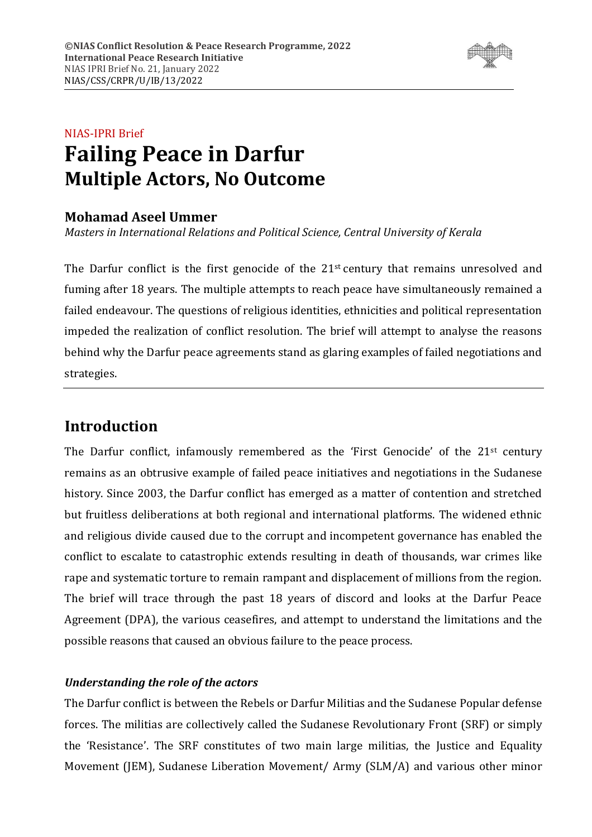

# NIAS-IPRI Brief **Failing Peace in Darfur Multiple Actors, No Outcome**

### **Mohamad Aseel Ummer**

*Masters in International Relations and Political Science, Central University of Kerala*

The Darfur conflict is the first genocide of the 21<sup>st</sup> century that remains unresolved and fuming after 18 years. The multiple attempts to reach peace have simultaneously remained a failed endeavour. The questions of religious identities, ethnicities and political representation impeded the realization of conflict resolution. The brief will attempt to analyse the reasons behind why the Darfur peace agreements stand as glaring examples of failed negotiations and strategies.

# **Introduction**

The Darfur conflict, infamously remembered as the 'First Genocide' of the  $21<sup>st</sup>$  century remains as an obtrusive example of failed peace initiatives and negotiations in the Sudanese history. Since 2003, the Darfur conflict has emerged as a matter of contention and stretched but fruitless deliberations at both regional and international platforms. The widened ethnic and religious divide caused due to the corrupt and incompetent governance has enabled the conflict to escalate to catastrophic extends resulting in death of thousands, war crimes like rape and systematic torture to remain rampant and displacement of millions from the region. The brief will trace through the past 18 years of discord and looks at the Darfur Peace Agreement (DPA), the various ceasefires, and attempt to understand the limitations and the possible reasons that caused an obvious failure to the peace process.

### *Understanding the role of the actors*

The Darfur conflict is between the Rebels or Darfur Militias and the Sudanese Popular defense forces. The militias are collectively called the Sudanese Revolutionary Front (SRF) or simply the 'Resistance'. The SRF constitutes of two main large militias, the Justice and Equality Movement (JEM), Sudanese Liberation Movement/ Army (SLM/A) and various other minor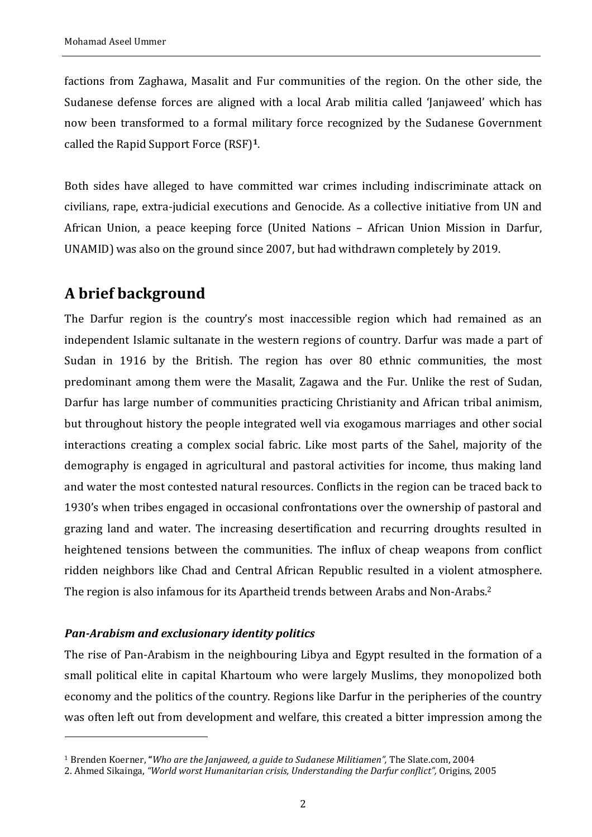factions from Zaghawa, Masalit and Fur communities of the region. On the other side, the Sudanese defense forces are aligned with a local Arab militia called 'Janjaweed' which has now been transformed to a formal military force recognized by the Sudanese Government called the Rapid Support Force (RSF)**1**.

Both sides have alleged to have committed war crimes including indiscriminate attack on civilians, rape, extra-judicial executions and Genocide. As a collective initiative from UN and African Union, a peace keeping force (United Nations – African Union Mission in Darfur, UNAMID) was also on the ground since 2007, but had withdrawn completely by 2019.

## **A brief background**

The Darfur region is the country's most inaccessible region which had remained as an independent Islamic sultanate in the western regions of country. Darfur was made a part of Sudan in 1916 by the British. The region has over 80 ethnic communities, the most predominant among them were the Masalit, Zagawa and the Fur. Unlike the rest of Sudan, Darfur has large number of communities practicing Christianity and African tribal animism, but throughout history the people integrated well via exogamous marriages and other social interactions creating a complex social fabric. Like most parts of the Sahel, majority of the demography is engaged in agricultural and pastoral activities for income, thus making land and water the most contested natural resources. Conflicts in the region can be traced back to 1930's when tribes engaged in occasional confrontations over the ownership of pastoral and grazing land and water. The increasing desertification and recurring droughts resulted in heightened tensions between the communities. The influx of cheap weapons from conflict ridden neighbors like Chad and Central African Republic resulted in a violent atmosphere. The region is also infamous for its Apartheid trends between Arabs and Non-Arabs.<sup>2</sup>

### *Pan-Arabism and exclusionary identity politics*

The rise of Pan-Arabism in the neighbouring Libya and Egypt resulted in the formation of a small political elite in capital Khartoum who were largely Muslims, they monopolized both economy and the politics of the country. Regions like Darfur in the peripheries of the country was often left out from development and welfare, this created a bitter impression among the

<sup>1</sup> Brenden Koerner, **"***Who are the Janjaweed, a guide to Sudanese Militiamen",* The Slate.com, 2004

<sup>2.</sup> Ahmed Sikainga, *"World worst Humanitarian crisis, Understanding the Darfur conflict",* Origins, 2005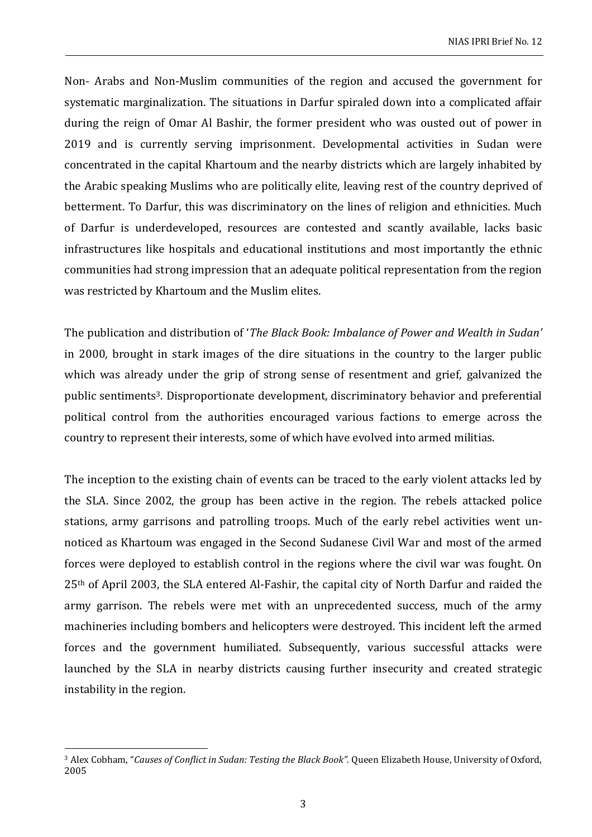Non- Arabs and Non-Muslim communities of the region and accused the government for systematic marginalization. The situations in Darfur spiraled down into a complicated affair during the reign of Omar Al Bashir, the former president who was ousted out of power in 2019 and is currently serving imprisonment. Developmental activities in Sudan were concentrated in the capital Khartoum and the nearby districts which are largely inhabited by the Arabic speaking Muslims who are politically elite, leaving rest of the country deprived of betterment. To Darfur, this was discriminatory on the lines of religion and ethnicities. Much of Darfur is underdeveloped, resources are contested and scantly available, lacks basic infrastructures like hospitals and educational institutions and most importantly the ethnic communities had strong impression that an adequate political representation from the region was restricted by Khartoum and the Muslim elites.

The publication and distribution of '*The Black Book: Imbalance of Power and Wealth in Sudan'*  in 2000*,* brought in stark images of the dire situations in the country to the larger public which was already under the grip of strong sense of resentment and grief, galvanized the public sentiments3. Disproportionate development, discriminatory behavior and preferential political control from the authorities encouraged various factions to emerge across the country to represent their interests, some of which have evolved into armed militias.

The inception to the existing chain of events can be traced to the early violent attacks led by the SLA. Since 2002, the group has been active in the region. The rebels attacked police stations, army garrisons and patrolling troops. Much of the early rebel activities went unnoticed as Khartoum was engaged in the Second Sudanese Civil War and most of the armed forces were deployed to establish control in the regions where the civil war was fought. On 25th of April 2003, the SLA entered Al-Fashir, the capital city of North Darfur and raided the army garrison. The rebels were met with an unprecedented success, much of the army machineries including bombers and helicopters were destroyed. This incident left the armed forces and the government humiliated. Subsequently, various successful attacks were launched by the SLA in nearby districts causing further insecurity and created strategic instability in the region.

<sup>3</sup> Alex Cobham, "*Causes of Conflict in Sudan: Testing the Black Book".* Queen Elizabeth House, University of Oxford, 2005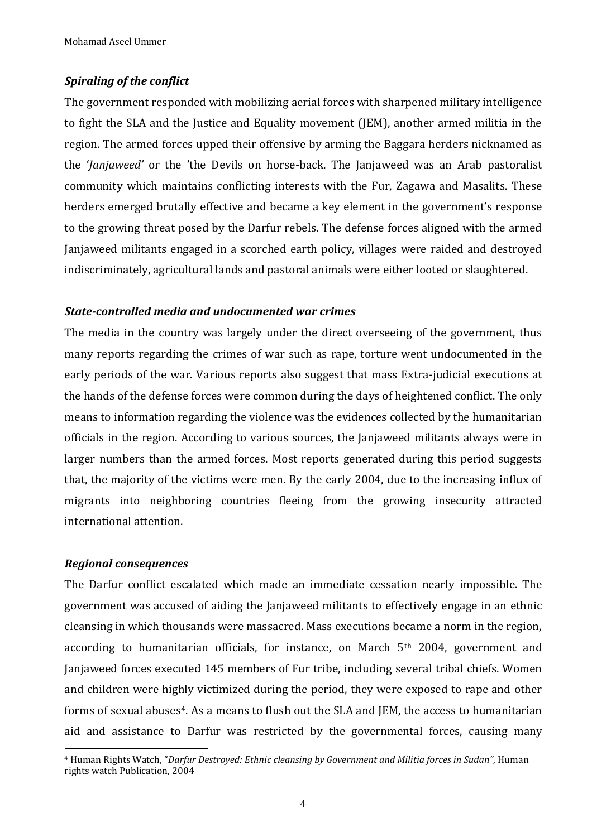### *Spiraling of the conflict*

The government responded with mobilizing aerial forces with sharpened military intelligence to fight the SLA and the Justice and Equality movement (JEM), another armed militia in the region. The armed forces upped their offensive by arming the Baggara herders nicknamed as the '*Janjaweed'* or the 'the Devils on horse-back. The Janjaweed was an Arab pastoralist community which maintains conflicting interests with the Fur, Zagawa and Masalits. These herders emerged brutally effective and became a key element in the government's response to the growing threat posed by the Darfur rebels. The defense forces aligned with the armed Janjaweed militants engaged in a scorched earth policy, villages were raided and destroyed indiscriminately, agricultural lands and pastoral animals were either looted or slaughtered.

#### *State-controlled media and undocumented war crimes*

The media in the country was largely under the direct overseeing of the government, thus many reports regarding the crimes of war such as rape, torture went undocumented in the early periods of the war. Various reports also suggest that mass Extra-judicial executions at the hands of the defense forces were common during the days of heightened conflict. The only means to information regarding the violence was the evidences collected by the humanitarian officials in the region. According to various sources, the Janjaweed militants always were in larger numbers than the armed forces. Most reports generated during this period suggests that, the majority of the victims were men. By the early 2004, due to the increasing influx of migrants into neighboring countries fleeing from the growing insecurity attracted international attention.

#### *Regional consequences*

The Darfur conflict escalated which made an immediate cessation nearly impossible. The government was accused of aiding the Janjaweed militants to effectively engage in an ethnic cleansing in which thousands were massacred. Mass executions became a norm in the region, according to humanitarian officials, for instance, on March 5<sup>th</sup> 2004, government and Janjaweed forces executed 145 members of Fur tribe, including several tribal chiefs. Women and children were highly victimized during the period, they were exposed to rape and other forms of sexual abuses<sup>4</sup>. As a means to flush out the SLA and JEM, the access to humanitarian aid and assistance to Darfur was restricted by the governmental forces, causing many

<sup>4</sup> Human Rights Watch, "*Darfur Destroyed: Ethnic cleansing by Government and Militia forces in Sudan"*, Human rights watch Publication, 2004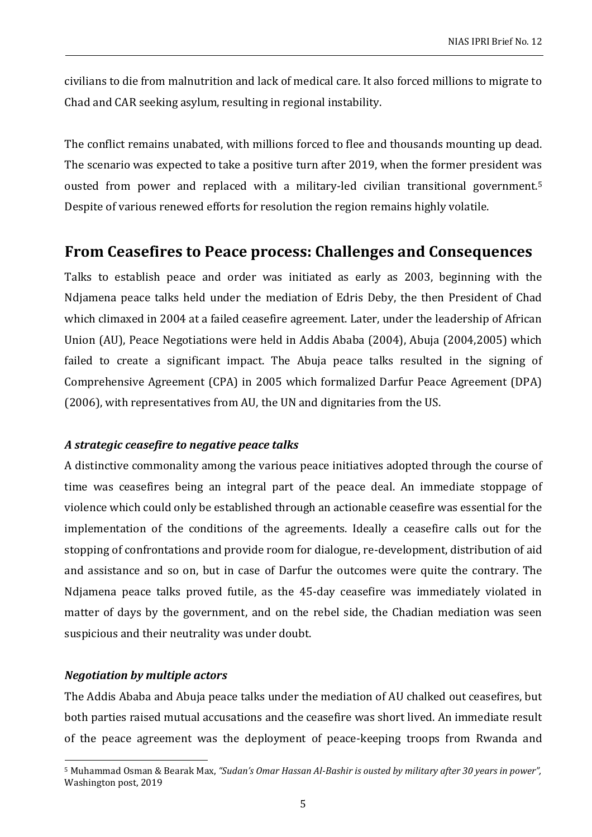civilians to die from malnutrition and lack of medical care. It also forced millions to migrate to Chad and CAR seeking asylum, resulting in regional instability.

The conflict remains unabated, with millions forced to flee and thousands mounting up dead. The scenario was expected to take a positive turn after 2019, when the former president was ousted from power and replaced with a military-led civilian transitional government.<sup>5</sup> Despite of various renewed efforts for resolution the region remains highly volatile.

### **From Ceasefires to Peace process: Challenges and Consequences**

Talks to establish peace and order was initiated as early as 2003, beginning with the Ndjamena peace talks held under the mediation of Edris Deby, the then President of Chad which climaxed in 2004 at a failed ceasefire agreement. Later, under the leadership of African Union (AU), Peace Negotiations were held in Addis Ababa (2004), Abuja (2004,2005) which failed to create a significant impact. The Abuja peace talks resulted in the signing of Comprehensive Agreement (CPA) in 2005 which formalized Darfur Peace Agreement (DPA) (2006), with representatives from AU, the UN and dignitaries from the US.

### *A strategic ceasefire to negative peace talks*

A distinctive commonality among the various peace initiatives adopted through the course of time was ceasefires being an integral part of the peace deal. An immediate stoppage of violence which could only be established through an actionable ceasefire was essential for the implementation of the conditions of the agreements. Ideally a ceasefire calls out for the stopping of confrontations and provide room for dialogue, re-development, distribution of aid and assistance and so on, but in case of Darfur the outcomes were quite the contrary. The Ndjamena peace talks proved futile, as the 45-day ceasefire was immediately violated in matter of days by the government, and on the rebel side, the Chadian mediation was seen suspicious and their neutrality was under doubt.

### *Negotiation by multiple actors*

The Addis Ababa and Abuja peace talks under the mediation of AU chalked out ceasefires, but both parties raised mutual accusations and the ceasefire was short lived. An immediate result of the peace agreement was the deployment of peace-keeping troops from Rwanda and

<sup>5</sup> Muhammad Osman & Bearak Max, *"Sudan's Omar Hassan Al-Bashir is ousted by military after 30 years in power",* Washington post, 2019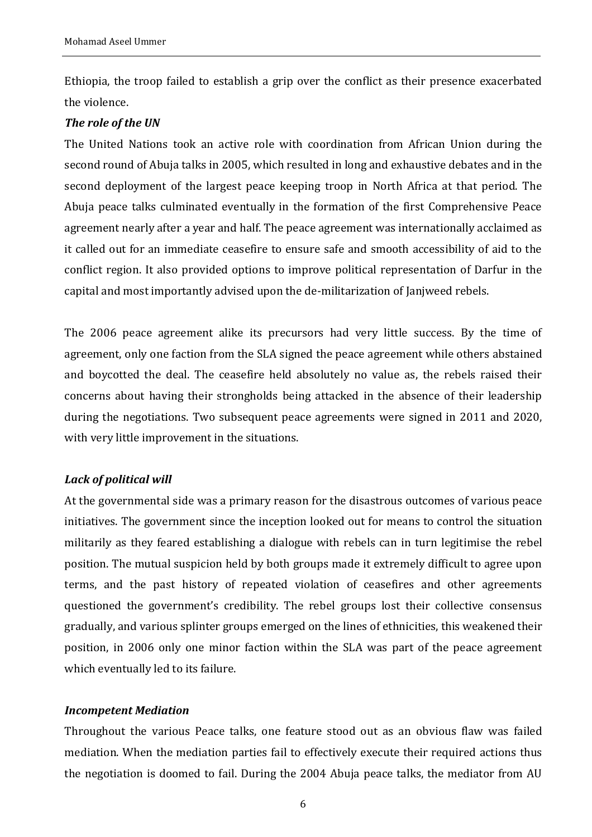Ethiopia, the troop failed to establish a grip over the conflict as their presence exacerbated the violence.

#### *The role of the UN*

The United Nations took an active role with coordination from African Union during the second round of Abuja talks in 2005, which resulted in long and exhaustive debates and in the second deployment of the largest peace keeping troop in North Africa at that period. The Abuja peace talks culminated eventually in the formation of the first Comprehensive Peace agreement nearly after a year and half. The peace agreement was internationally acclaimed as it called out for an immediate ceasefire to ensure safe and smooth accessibility of aid to the conflict region. It also provided options to improve political representation of Darfur in the capital and most importantly advised upon the de-militarization of Janjweed rebels.

The 2006 peace agreement alike its precursors had very little success. By the time of agreement, only one faction from the SLA signed the peace agreement while others abstained and boycotted the deal. The ceasefire held absolutely no value as, the rebels raised their concerns about having their strongholds being attacked in the absence of their leadership during the negotiations. Two subsequent peace agreements were signed in 2011 and 2020, with very little improvement in the situations.

### *Lack of political will*

At the governmental side was a primary reason for the disastrous outcomes of various peace initiatives. The government since the inception looked out for means to control the situation militarily as they feared establishing a dialogue with rebels can in turn legitimise the rebel position. The mutual suspicion held by both groups made it extremely difficult to agree upon terms, and the past history of repeated violation of ceasefires and other agreements questioned the government's credibility. The rebel groups lost their collective consensus gradually, and various splinter groups emerged on the lines of ethnicities, this weakened their position, in 2006 only one minor faction within the SLA was part of the peace agreement which eventually led to its failure.

### *Incompetent Mediation*

Throughout the various Peace talks, one feature stood out as an obvious flaw was failed mediation. When the mediation parties fail to effectively execute their required actions thus the negotiation is doomed to fail. During the 2004 Abuja peace talks, the mediator from AU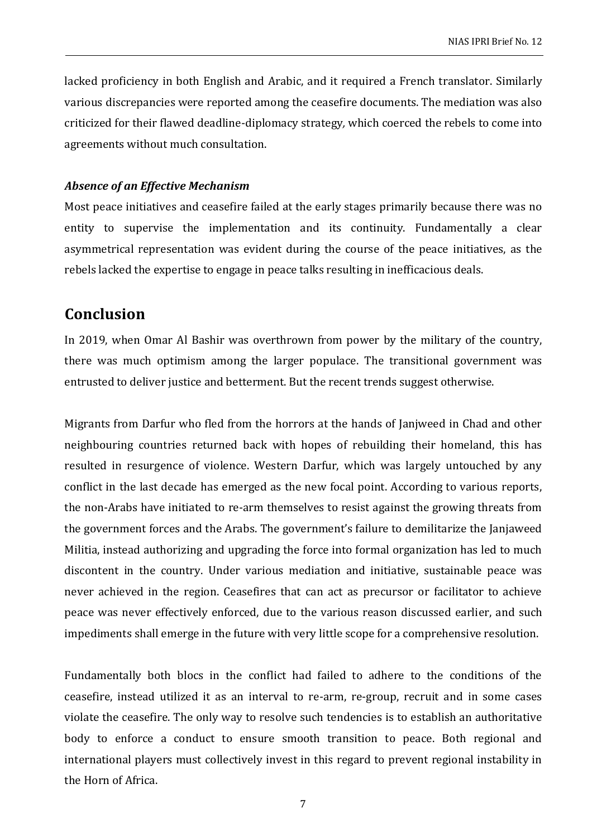lacked proficiency in both English and Arabic, and it required a French translator. Similarly various discrepancies were reported among the ceasefire documents. The mediation was also criticized for their flawed deadline-diplomacy strategy*,* which coerced the rebels to come into agreements without much consultation.

#### *Absence of an Effective Mechanism*

Most peace initiatives and ceasefire failed at the early stages primarily because there was no entity to supervise the implementation and its continuity. Fundamentally a clear asymmetrical representation was evident during the course of the peace initiatives, as the rebels lacked the expertise to engage in peace talks resulting in inefficacious deals.

### **Conclusion**

In 2019, when Omar Al Bashir was overthrown from power by the military of the country, there was much optimism among the larger populace. The transitional government was entrusted to deliver justice and betterment. But the recent trends suggest otherwise.

Migrants from Darfur who fled from the horrors at the hands of Janjweed in Chad and other neighbouring countries returned back with hopes of rebuilding their homeland, this has resulted in resurgence of violence. Western Darfur, which was largely untouched by any conflict in the last decade has emerged as the new focal point. According to various reports, the non-Arabs have initiated to re-arm themselves to resist against the growing threats from the government forces and the Arabs. The government's failure to demilitarize the Janjaweed Militia, instead authorizing and upgrading the force into formal organization has led to much discontent in the country. Under various mediation and initiative, sustainable peace was never achieved in the region. Ceasefires that can act as precursor or facilitator to achieve peace was never effectively enforced, due to the various reason discussed earlier, and such impediments shall emerge in the future with very little scope for a comprehensive resolution.

Fundamentally both blocs in the conflict had failed to adhere to the conditions of the ceasefire, instead utilized it as an interval to re-arm, re-group, recruit and in some cases violate the ceasefire. The only way to resolve such tendencies is to establish an authoritative body to enforce a conduct to ensure smooth transition to peace. Both regional and international players must collectively invest in this regard to prevent regional instability in the Horn of Africa.

7